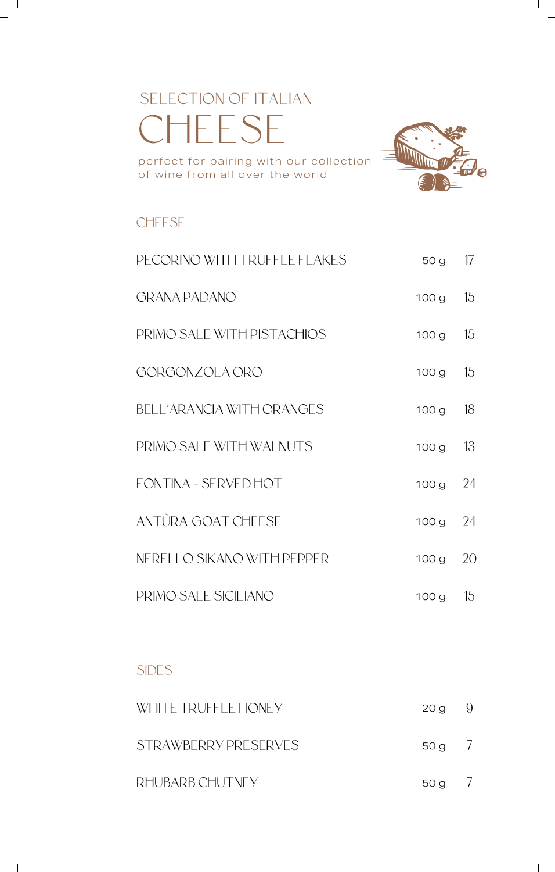# SELECTION OF ITALIAN CHEESE perfect for pairing with our collection

of wine from all over the world



 $\mathbf{I}$ 

**CHEESE** 

 $\mathbf{I}$ 

| PECORINO WITH TRUFFLE FLAKES | 50 g             | 17 |
|------------------------------|------------------|----|
| <b>GRANA PADANO</b>          | 100 <sub>g</sub> | 15 |
| PRIMO SALE WITH PISTACHIOS   | 100g             | 15 |
| GORGONZOLA ORO               | 100 g            | 15 |
| BELL'ARANCIA WITH ORANGES    | 100 <sub>g</sub> | 18 |
| PRIMO SALE WITH WALNUTS      | 100 <sub>g</sub> | 13 |
| FONTINA - SFRVED HOT         | 100g             | 24 |
| ANTÙRA GOAT CHEESE           | 100g             | 24 |
| NERELLO SIKANO WITH PEPPER   | 100g             | 20 |
| PRIMO SALE SICILIANO         | 100 g            | 15 |

### SIDES

| WHITE TRUFFI E HONEY | $20 g \t 9$ |  |
|----------------------|-------------|--|
| STRAWBERRY PRESERVES | 50 g /      |  |
| RHUBARB CHUTNEY      | 50 g /      |  |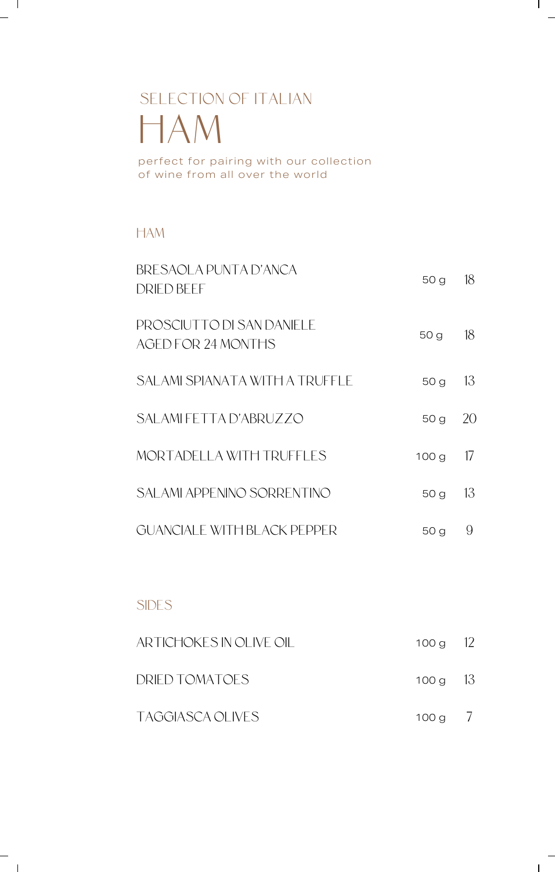# SELECTION OF ITALIAN HAM

perfect for pairing with our collection of wine from all over the world

## HAM

 $\mathbf{I}$ 

 $\sim$  1

| BRESAOLA PUNTA D'ANCA<br>DRIED BEEE              | 50 g             | 18 |
|--------------------------------------------------|------------------|----|
| PROSCIUTTO DI SAN DANIFI F<br>AGED FOR 24 MONTHS | 50 g             | 18 |
| SALAMI SPIANATA WITH A TRUFFLE                   | 50 <sub>g</sub>  | 13 |
| SALAMLEETTA D'ABRUZZO                            | 50 <sub>g</sub>  | 20 |
| MORTADELLA WITH TRUEELES                         | 100 <sub>g</sub> | 17 |
| SALAMI APPENINO SORRENTINO                       | 50g              | 13 |
| GUANCIAI E WITH BI ACK PEPPER                    | 50 g             | 9  |

 $\mathbf{I}$ 

 $\mathbf{I}$ 

## SIDES

| ARTICHOKES IN OLIVE OIL | 100 g $12$ |  |
|-------------------------|------------|--|
| DRIED TOMATOES          | 100 g $13$ |  |
| TAGGIASCA OLIVES        | $100 g$ /  |  |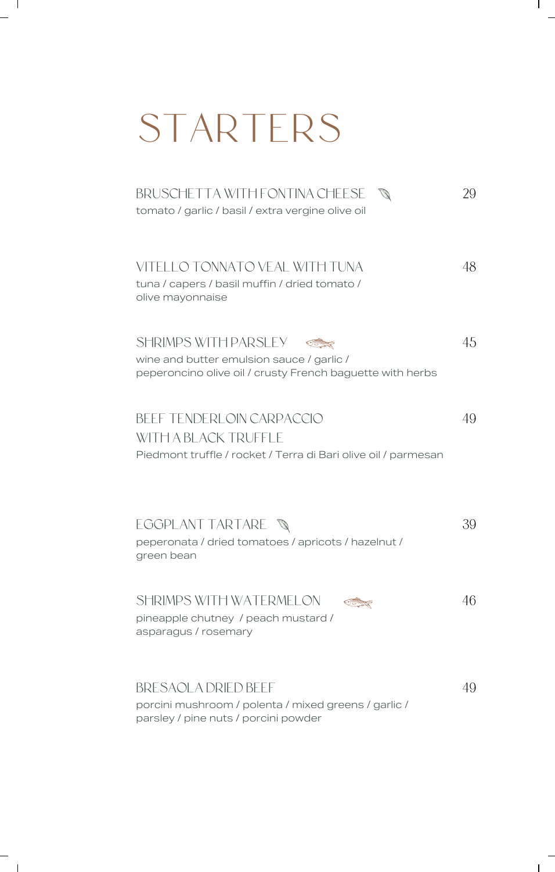# STARTERS

 $\mathbf{I}$ 

 $\mathbf{I}$ 

 $\sim$  1

 $\overline{\phantom{a}}$   $\overline{\phantom{a}}$ 

| BRUSCHETTA WITH FONTINA CHEESE<br>tomato / garlic / basil / extra vergine olive oil                                                   | 29 |
|---------------------------------------------------------------------------------------------------------------------------------------|----|
| VITELLO TONNATO VEAL WITH TUNA<br>tuna / capers / basil muffin / dried tomato /<br>olive mayonnaise                                   | 48 |
| <b>SHRIMPS WITH PARSLEY</b><br>wine and butter emulsion sauce / garlic /<br>peperoncino olive oil / crusty French baguette with herbs | 45 |
| BEFF TENDERI OIN CARPACCIO<br>WITH A BLACK TRUFFI F<br>Piedmont truffle / rocket / Terra di Bari olive oil / parmesan                 | 49 |
| EGGPLANT TARTARE<br>peperonata / dried tomatoes / apricots / hazelnut /<br>green bean                                                 | 39 |
| SHRIMPS WITH WATERMELON<br>pineapple chutney / peach mustard /<br>asparagus / rosemary                                                | 46 |
| BRESAOLA DRIED BEEF<br>porcini mushroom / polenta / mixed greens / garlic /<br>parsley / pine nuts / porcini powder                   | 49 |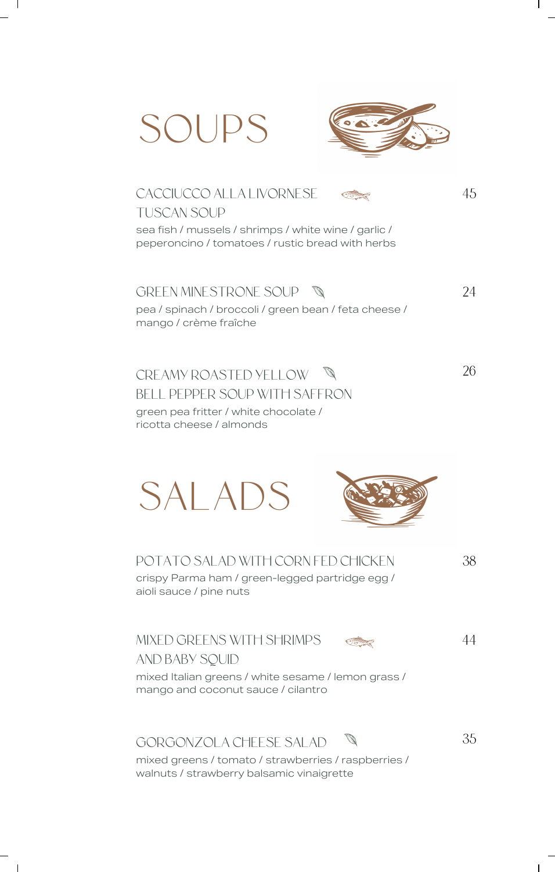



## CACCIUCCO ALLA LIVORNESE TUSCAN SOUP sea fish / mussels / shrimps / white wine / garlic /

peperoncino / tomatoes / rustic bread with herbs

GREEN MINESTRONE SOUP \

24

26

45

 $\mathsf{l}$ 

### pea / spinach / broccoli / green bean / feta cheese / mango / crème fraîche

CREAMY ROASTED YELLOW

#### BELL PEPPER SOUP WITH SAFFRON

green pea fritter / white chocolate / ricotta cheese / almonds

# SALADS



38

crispy Parma ham / green-legged partridge egg / aioli sauce / pine nuts

POTATO SALAD WITH CORN FED CHICKEN

### MIXED GREENS WITH SHRIMPS

44

35

 $\mathbf{I}$ 

AND BABY SQUID

mixed Italian greens / white sesame / lemon grass / mango and coconut sauce / cilantro

## GORGONZOLA CHEESE SALAD

mixed greens / tomato / strawberries / raspberries / walnuts / strawberry balsamic vinaigrette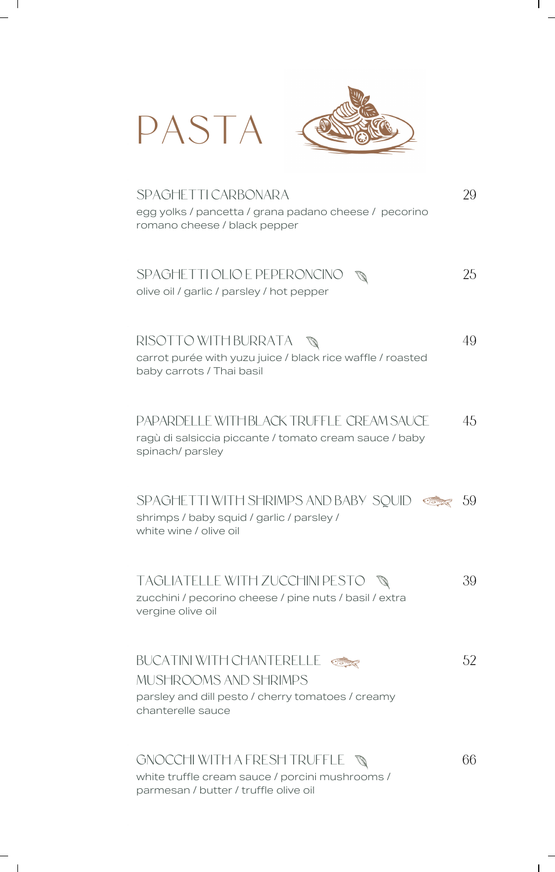| PASTA                                                                                                                               |     |
|-------------------------------------------------------------------------------------------------------------------------------------|-----|
| SPAGHETTI CARBONARA<br>egg yolks / pancetta / grana padano cheese / pecorino<br>romano cheese / black pepper                        | 29  |
| SPAGHETTI OLIO E PEPERONCINO<br>olive oil / garlic / parsley / hot pepper                                                           | 25  |
| RISOTTO WITH BURRATA<br>carrot purée with yuzu juice / black rice waffle / roasted<br>baby carrots / Thai basil                     | 49  |
| PAPARDELLE WITH BLACK TRUFFLE CREAM SAUCE<br>ragù di salsiccia piccante / tomato cream sauce / baby<br>spinach/ parsley             | 45  |
| SPAGHETTI WITH SHRIMPS AND BABY SQUID<br>shrimps / baby squid / garlic / parsley /<br>white wine / olive oil                        | -59 |
| TAGLIATELLE WITH ZUCCHINI PESTO<br>zucchini / pecorino cheese / pine nuts / basil / extra<br>vergine olive oil                      | 39  |
| <b>BUCATINI WITH CHANTERELLE</b><br>MUSHROOMS AND SHRIMPS<br>parsley and dill pesto / cherry tomatoes / creamy<br>chanterelle sauce | 52  |
| GNOCCHI WITH A FRESH TRUFFLE<br>white truffle cream sauce / porcini mushrooms /                                                     | 66  |

 $\mathbf{I}$ 

parmesan / butter / truffle olive oil

 $\mathbf{I}$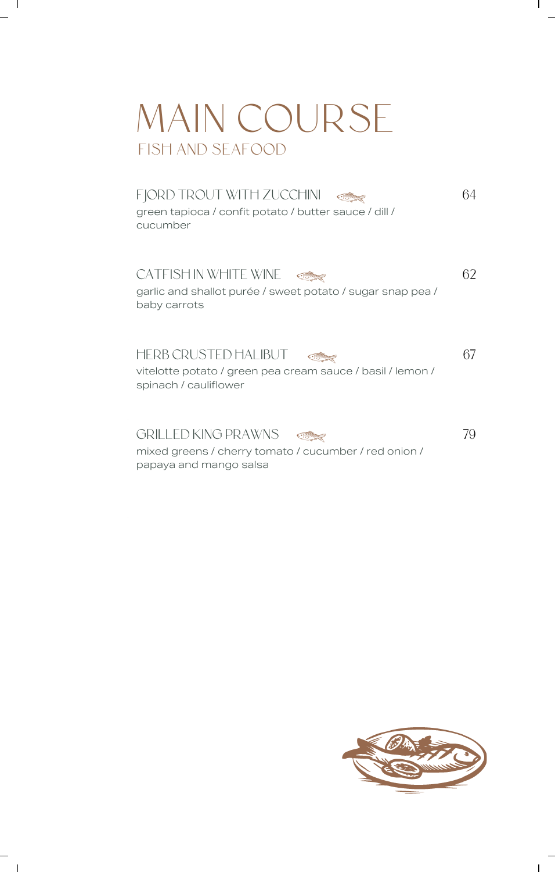# FISH AND SEAFOOD MAIN COURSE

 $\mathbf{I}$ 

 $\blacksquare$ 

FJORD TROUT WITH ZUCCHINI 64 I green tapioca / confit potato / butter sauce / dill / cucumber

CATFISH IN WHITE WINE garlic and shallot purée / sweet potato / sugar snap pea / baby carrots 62

HERB CRUSTED HALIBUT <u>Strage</u> vitelotte potato / green pea cream sauce / basil / lemon / spinach / cauliflower

GRILLED KING PRAWNS <u>Standard</u>

mixed greens / cherry tomato / cucumber / red onion / papaya and mango salsa



 $\mathbf{I}$ 

67

 $\mathbf{I}$ 

79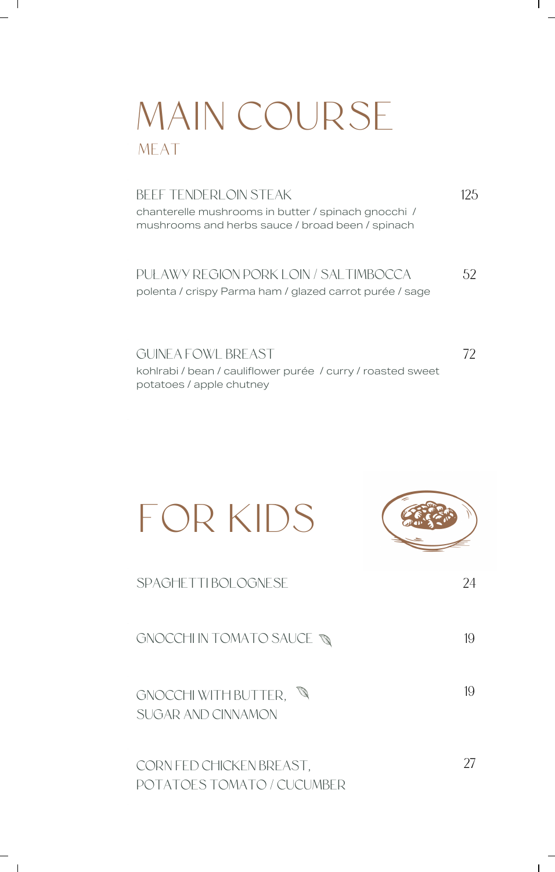# MAIN COURSE MEAT

 $\mathbf{I}$ 

 $\mathbf{I}$ 

#### BEEF TENDERLOIN STEAK 125

chanterelle mushrooms in butter / spinach gnocchi / mushrooms and herbs sauce / broad been / spinach

#### PUŁAWY REGION PORK LOIN / SALTIMBOCCA polenta / crispy Parma ham / glazed carrot purée / sage 52

72

 $\mathbf{I}$ 

 $\mathbf{I}$ 

GUINEA FOWL BREAST kohlrabi / bean / cauliflower purée / curry / roasted sweet potatoes / apple chutney

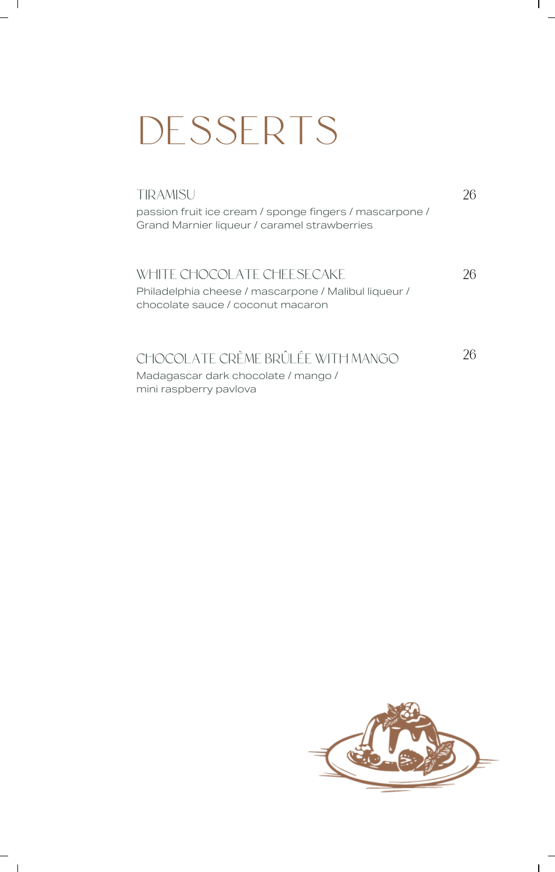# DESSERTS

 $\mathbf{I}$ 

| TIRAMISU                                                |  |
|---------------------------------------------------------|--|
| passion fruit ice cream / sponge fingers / mascarpone / |  |
| Grand Marnier liqueur / caramel strawberries            |  |
|                                                         |  |
| WHITE CHOCOI ATE CHEESECAKE                             |  |
| Philadelphia cheese / mascarpone / Malibul liqueur /    |  |
| chocolate sauce / coconut macaron                       |  |
|                                                         |  |
|                                                         |  |
| CHOCOLATE CRÈME BRÛLÉE WITH MANGO                       |  |
| Madagascar dark chocolate / mango /                     |  |
| mini raspberry pavlova                                  |  |

 $\mathsf{l}$ 

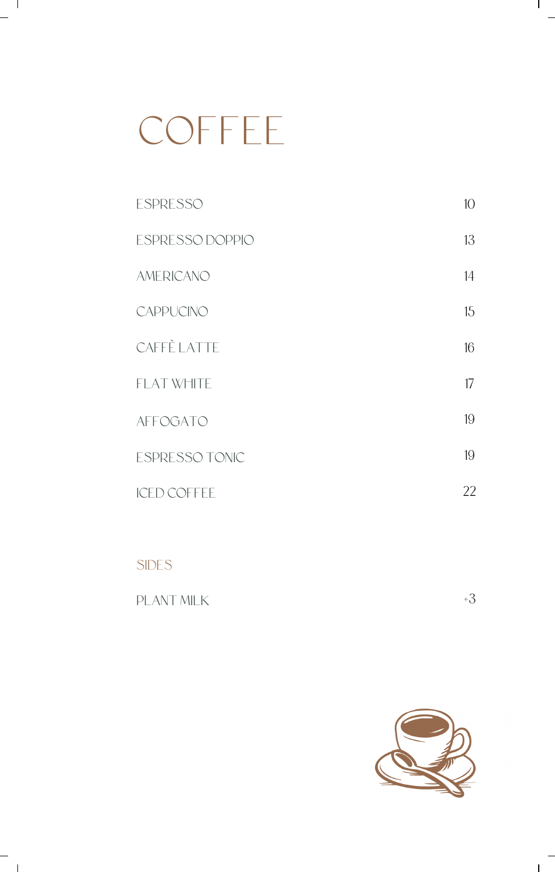# COFFEE

 $\mathbf{I}$ 

 $^{-}$  ,

| <b>ESPRESSO</b>       | 10 <sup>°</sup> |
|-----------------------|-----------------|
| ESPRESSO DOPPIO       | 13              |
| <b>AMERICANO</b>      | 14              |
| CAPPUCINO             | 15              |
| <b>CAFFÈ LATTE</b>    | 16              |
| <b>FLAT WHITE</b>     | 17              |
| <b>AFFOGATO</b>       | 19              |
| <b>ESPRESSO TONIC</b> | 19              |
| <b>ICED COFFEE</b>    | 22              |
|                       |                 |

# SIDES

| PLANT MILK |  |
|------------|--|
|            |  |



 $\mathbf{I}$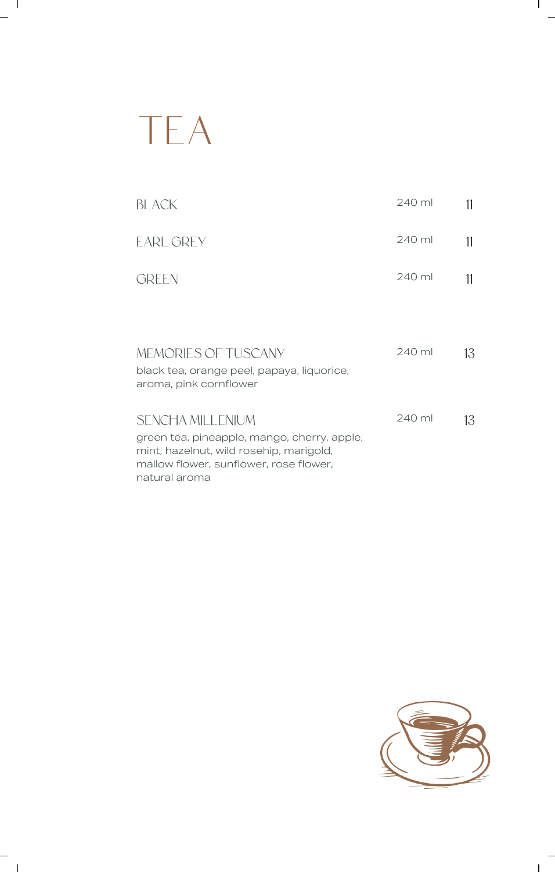# TEA

 $\mathbf{I}$ 

 $\overline{\phantom{a}}$ 

| BI ACK                                                                                                                                                                | 240 ml | 11 |
|-----------------------------------------------------------------------------------------------------------------------------------------------------------------------|--------|----|
| <b>EARL GREY</b>                                                                                                                                                      | 240 ml | 11 |
| <b>GREEN</b>                                                                                                                                                          | 240 ml | 11 |
|                                                                                                                                                                       |        |    |
| MEMORIES OF TUSCANY<br>black tea, orange peel, papaya, liquorice,<br>aroma, pink cornflower                                                                           | 240 ml | 13 |
| SENCHA MILLENIUM<br>green tea, pineapple, mango, cherry, apple,<br>mint, hazelnut, wild rosehip, marigold,<br>mallow flower, sunflower, rose flower,<br>natural aroma | 240 ml | 13 |



 $\mathbf l$